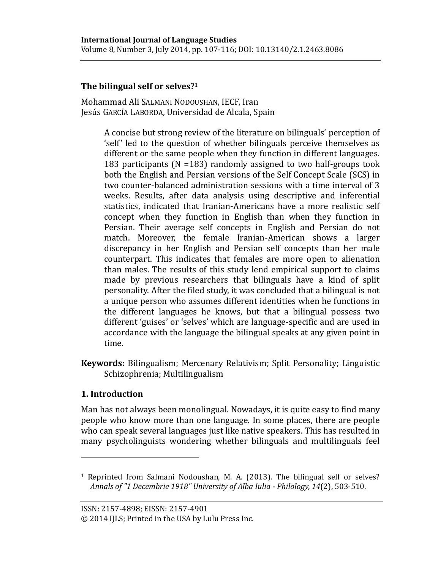# **The bilingual self or selves?<sup>1</sup>**

Mohammad Ali SALMANI NODOUSHAN, IECF, Iran Jesús GARCÍA LABORDA, Universidad de Alcala, Spain

> A concise but strong review of the literature on bilinguals' perception of 'self' led to the question of whether bilinguals perceive themselves as different or the same people when they function in different languages. 183 participants (N =183) randomly assigned to two half-groups took both the English and Persian versions of the Self Concept Scale (SCS) in two counter-balanced administration sessions with a time interval of 3 weeks. Results, after data analysis using descriptive and inferential statistics, indicated that Iranian-Americans have a more realistic self concept when they function in English than when they function in Persian. Their average self concepts in English and Persian do not match. Moreover, the female Iranian-American shows a larger discrepancy in her English and Persian self concepts than her male counterpart. This indicates that females are more open to alienation than males. The results of this study lend empirical support to claims made by previous researchers that bilinguals have a kind of split personality. After the filed study, it was concluded that a bilingual is not a unique person who assumes different identities when he functions in the different languages he knows, but that a bilingual possess two different 'guises' or 'selves' which are language-specific and are used in accordance with the language the bilingual speaks at any given point in time.

**Keywords:** Bilingualism; Mercenary Relativism; Split Personality; Linguistic Schizophrenia; Multilingualism

## **1. Introduction**

 $\overline{a}$ 

Man has not always been monolingual. Nowadays, it is quite easy to find many people who know more than one language. In some places, there are people who can speak several languages just like native speakers. This has resulted in many psycholinguists wondering whether bilinguals and multilinguals feel

ISSN: 2157-4898; EISSN: 2157-4901

© 2014 IJLS; Printed in the USA by Lulu Press Inc.

<sup>1</sup> Reprinted from Salmani Nodoushan, M. A. (2013). The bilingual self or selves? *Annals of "1 Decembrie 1918" University of Alba Iulia - Philology, 14*(2), 503-510.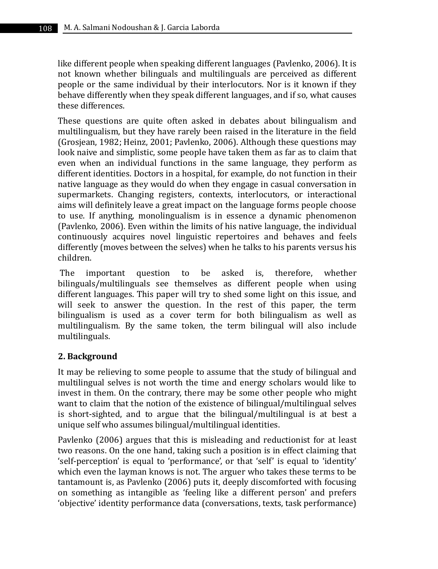like different people when speaking different languages (Pavlenko, 2006). It is not known whether bilinguals and multilinguals are perceived as different people or the same individual by their interlocutors. Nor is it known if they behave differently when they speak different languages, and if so, what causes these differences.

These questions are quite often asked in debates about bilingualism and multilingualism, but they have rarely been raised in the literature in the field (Grosjean, 1982; Heinz, 2001; Pavlenko, 2006). Although these questions may look naive and simplistic, some people have taken them as far as to claim that even when an individual functions in the same language, they perform as different identities. Doctors in a hospital, for example, do not function in their native language as they would do when they engage in casual conversation in supermarkets. Changing registers, contexts, interlocutors, or interactional aims will definitely leave a great impact on the language forms people choose to use. If anything, monolingualism is in essence a dynamic phenomenon (Pavlenko, 2006). Even within the limits of his native language, the individual continuously acquires novel linguistic repertoires and behaves and feels differently (moves between the selves) when he talks to his parents versus his children.

The important question to be asked is, therefore, whether bilinguals/multilinguals see themselves as different people when using different languages. This paper will try to shed some light on this issue, and will seek to answer the question. In the rest of this paper, the term bilingualism is used as a cover term for both bilingualism as well as multilingualism. By the same token, the term bilingual will also include multilinguals.

## **2. Background**

It may be relieving to some people to assume that the study of bilingual and multilingual selves is not worth the time and energy scholars would like to invest in them. On the contrary, there may be some other people who might want to claim that the notion of the existence of bilingual/multilingual selves is short-sighted, and to argue that the bilingual/multilingual is at best a unique self who assumes bilingual/multilingual identities.

Pavlenko (2006) argues that this is misleading and reductionist for at least two reasons. On the one hand, taking such a position is in effect claiming that 'self-perception' is equal to 'performance', or that 'self' is equal to 'identity' which even the layman knows is not. The arguer who takes these terms to be tantamount is, as Pavlenko (2006) puts it, deeply discomforted with focusing on something as intangible as 'feeling like a different person' and prefers 'objective' identity performance data (conversations, texts, task performance)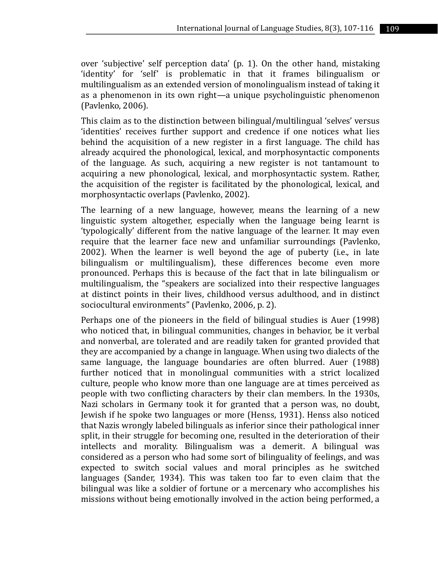over 'subjective' self perception data' (p. 1). On the other hand, mistaking 'identity' for 'self' is problematic in that it frames bilingualism or multilingualism as an extended version of monolingualism instead of taking it as a phenomenon in its own right—a unique psycholinguistic phenomenon (Pavlenko, 2006).

This claim as to the distinction between bilingual/multilingual 'selves' versus 'identities' receives further support and credence if one notices what lies behind the acquisition of a new register in a first language. The child has already acquired the phonological, lexical, and morphosyntactic components of the language. As such, acquiring a new register is not tantamount to acquiring a new phonological, lexical, and morphosyntactic system. Rather, the acquisition of the register is facilitated by the phonological, lexical, and morphosyntactic overlaps (Pavlenko, 2002).

The learning of a new language, however, means the learning of a new linguistic system altogether, especially when the language being learnt is 'typologically' different from the native language of the learner. It may even require that the learner face new and unfamiliar surroundings (Pavlenko, 2002). When the learner is well beyond the age of puberty (i.e., in late bilingualism or multilingualism), these differences become even more pronounced. Perhaps this is because of the fact that in late bilingualism or multilingualism, the "speakers are socialized into their respective languages at distinct points in their lives, childhood versus adulthood, and in distinct sociocultural environments" (Pavlenko, 2006, p. 2).

Perhaps one of the pioneers in the field of bilingual studies is Auer (1998) who noticed that, in bilingual communities, changes in behavior, be it verbal and nonverbal, are tolerated and are readily taken for granted provided that they are accompanied by a change in language. When using two dialects of the same language, the language boundaries are often blurred. Auer (1988) further noticed that in monolingual communities with a strict localized culture, people who know more than one language are at times perceived as people with two conflicting characters by their clan members. In the 1930s, Nazi scholars in Germany took it for granted that a person was, no doubt, Jewish if he spoke two languages or more (Henss, 1931). Henss also noticed that Nazis wrongly labeled bilinguals as inferior since their pathological inner split, in their struggle for becoming one, resulted in the deterioration of their intellects and morality. Bilingualism was a demerit. A bilingual was considered as a person who had some sort of bilinguality of feelings, and was expected to switch social values and moral principles as he switched languages (Sander, 1934). This was taken too far to even claim that the bilingual was like a soldier of fortune or a mercenary who accomplishes his missions without being emotionally involved in the action being performed, a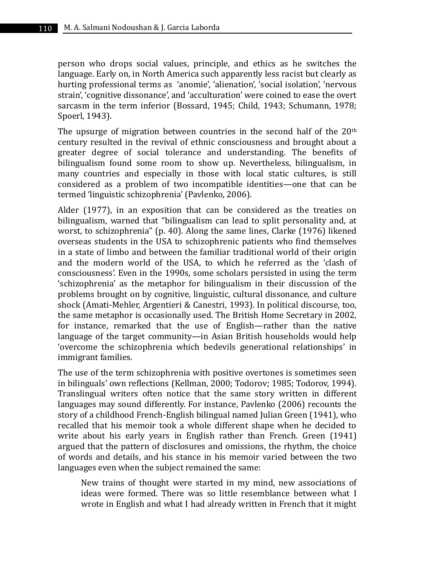person who drops social values, principle, and ethics as he switches the language. Early on, in North America such apparently less racist but clearly as hurting professional terms as 'anomie', 'alienation', 'social isolation', 'nervous strain', 'cognitive dissonance', and 'acculturation' were coined to ease the overt sarcasm in the term inferior (Bossard, 1945; Child, 1943; Schumann, 1978; Spoerl, 1943).

The upsurge of migration between countries in the second half of the  $20<sup>th</sup>$ century resulted in the revival of ethnic consciousness and brought about a greater degree of social tolerance and understanding. The benefits of bilingualism found some room to show up. Nevertheless, bilingualism, in many countries and especially in those with local static cultures, is still considered as a problem of two incompatible identities—one that can be termed 'linguistic schizophrenia' (Pavlenko, 2006).

Alder (1977), in an exposition that can be considered as the treaties on bilingualism, warned that "bilingualism can lead to split personality and, at worst, to schizophrenia" (p. 40). Along the same lines, Clarke (1976) likened overseas students in the USA to schizophrenic patients who find themselves in a state of limbo and between the familiar traditional world of their origin and the modern world of the USA, to which he referred as the 'clash of consciousness'. Even in the 1990s, some scholars persisted in using the term 'schizophrenia' as the metaphor for bilingualism in their discussion of the problems brought on by cognitive, linguistic, cultural dissonance, and culture shock (Amati-Mehler, Argentieri & Canestri, 1993). In political discourse, too, the same metaphor is occasionally used. The British Home Secretary in 2002, for instance, remarked that the use of English—rather than the native language of the target community—in Asian British households would help 'overcome the schizophrenia which bedevils generational relationships' in immigrant families.

The use of the term schizophrenia with positive overtones is sometimes seen in bilinguals' own reflections (Kellman, 2000; Todorov; 1985; Todorov, 1994). Translingual writers often notice that the same story written in different languages may sound differently. For instance, Pavlenko (2006) recounts the story of a childhood French-English bilingual named Julian Green (1941), who recalled that his memoir took a whole different shape when he decided to write about his early years in English rather than French. Green (1941) argued that the pattern of disclosures and omissions, the rhythm, the choice of words and details, and his stance in his memoir varied between the two languages even when the subject remained the same:

New trains of thought were started in my mind, new associations of ideas were formed. There was so little resemblance between what I wrote in English and what I had already written in French that it might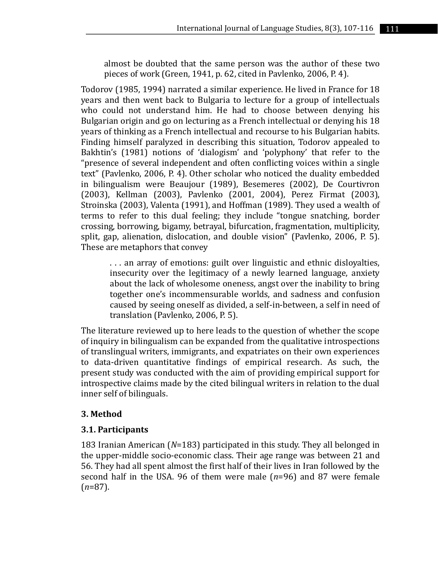almost be doubted that the same person was the author of these two pieces of work (Green, 1941, p. 62, cited in Pavlenko, 2006, P. 4).

Todorov (1985, 1994) narrated a similar experience. He lived in France for 18 years and then went back to Bulgaria to lecture for a group of intellectuals who could not understand him. He had to choose between denying his Bulgarian origin and go on lecturing as a French intellectual or denying his 18 years of thinking as a French intellectual and recourse to his Bulgarian habits. Finding himself paralyzed in describing this situation, Todorov appealed to Bakhtin's (1981) notions of 'dialogism' and 'polyphony' that refer to the "presence of several independent and often conflicting voices within a single text" (Pavlenko, 2006, P. 4). Other scholar who noticed the duality embedded in bilingualism were Beaujour (1989), Besemeres (2002), De Courtivron (2003), Kellman (2003), Pavlenko (2001, 2004), Perez Firmat (2003), Stroinska (2003), Valenta (1991), and Hoffman (1989). They used a wealth of terms to refer to this dual feeling; they include "tongue snatching, border crossing, borrowing, bigamy, betrayal, bifurcation, fragmentation, multiplicity, split, gap, alienation, dislocation, and double vision" (Pavlenko, 2006, P. 5). These are metaphors that convey

. . . an array of emotions: guilt over linguistic and ethnic disloyalties, insecurity over the legitimacy of a newly learned language, anxiety about the lack of wholesome oneness, angst over the inability to bring together one's incommensurable worlds, and sadness and confusion caused by seeing oneself as divided, a self-in-between, a self in need of translation (Pavlenko, 2006, P. 5).

The literature reviewed up to here leads to the question of whether the scope of inquiry in bilingualism can be expanded from the qualitative introspections of translingual writers, immigrants, and expatriates on their own experiences to data-driven quantitative findings of empirical research. As such, the present study was conducted with the aim of providing empirical support for introspective claims made by the cited bilingual writers in relation to the dual inner self of bilinguals.

## **3. Method**

## **3.1. Participants**

183 Iranian American (*N*=183) participated in this study. They all belonged in the upper-middle socio-economic class. Their age range was between 21 and 56. They had all spent almost the first half of their lives in Iran followed by the second half in the USA. 96 of them were male (*n*=96) and 87 were female (*n*=87).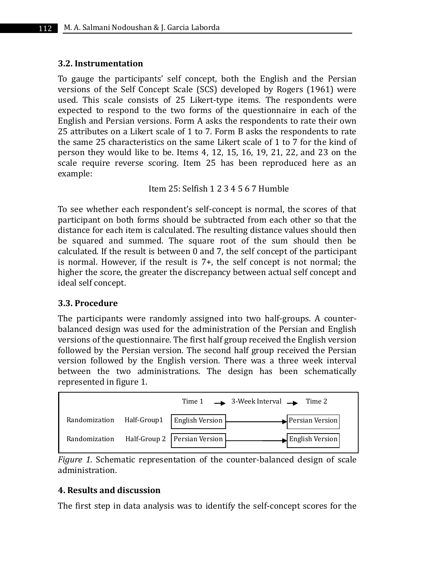## **3.2. Instrumentation**

To gauge the participants' self concept, both the English and the Persian versions of the Self Concept Scale (SCS) developed by Rogers (1961) were used. This scale consists of 25 Likert-type items. The respondents were expected to respond to the two forms of the questionnaire in each of the English and Persian versions. Form A asks the respondents to rate their own 25 attributes on a Likert scale of 1 to 7. Form B asks the respondents to rate the same 25 characteristics on the same Likert scale of 1 to 7 for the kind of person they would like to be. Items 4, 12, 15, 16, 19, 21, 22, and 23 on the scale require reverse scoring. Item 25 has been reproduced here as an example:

Item 25: Selfish 1 2 3 4 5 6 7 Humble

To see whether each respondent's self-concept is normal, the scores of that participant on both forms should be subtracted from each other so that the distance for each item is calculated. The resulting distance values should then be squared and summed. The square root of the sum should then be calculated. If the result is between 0 and 7, the self concept of the participant is normal. However, if the result is 7+, the self concept is not normal; the higher the score, the greater the discrepancy between actual self concept and ideal self concept.

## **3.3. Procedure**

The participants were randomly assigned into two half-groups. A counterbalanced design was used for the administration of the Persian and English versions of the questionnaire. The first half group received the English version followed by the Persian version. The second half group received the Persian version followed by the English version. There was a three week interval between the two administrations. The design has been schematically represented in figure 1.



*Figure 1.* Schematic representation of the counter-balanced design of scale administration.

## **4. Results and discussion**

The first step in data analysis was to identify the self-concept scores for the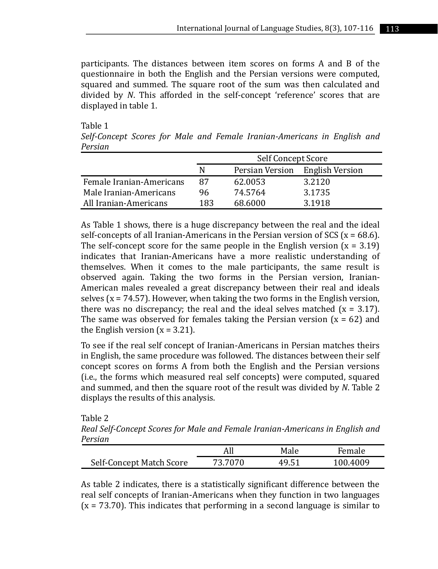participants. The distances between item scores on forms A and B of the questionnaire in both the English and the Persian versions were computed, squared and summed. The square root of the sum was then calculated and divided by *N*. This afforded in the self-concept 'reference' scores that are displayed in table 1.

Table 1 *Self-Concept Scores for Male and Female Iranian-Americans in English and Persian*

|                          | Self Concept Score |         |                                 |  |
|--------------------------|--------------------|---------|---------------------------------|--|
|                          | N                  |         | Persian Version English Version |  |
| Female Iranian-Americans | 87                 | 62.0053 | 3.2120                          |  |
| Male Iranian-Americans   | 96                 | 74.5764 | 3.1735                          |  |
| All Iranian-Americans    | 183                | 68.6000 | 3.1918                          |  |

As Table 1 shows, there is a huge discrepancy between the real and the ideal self-concepts of all Iranian-Americans in the Persian version of SCS ( $x = 68.6$ ). The self-concept score for the same people in the English version  $(x = 3.19)$ indicates that Iranian-Americans have a more realistic understanding of themselves. When it comes to the male participants, the same result is observed again. Taking the two forms in the Persian version, Iranian-American males revealed a great discrepancy between their real and ideals selves ( $x = 74.57$ ). However, when taking the two forms in the English version, there was no discrepancy; the real and the ideal selves matched  $(x = 3.17)$ . The same was observed for females taking the Persian version  $(x = 62)$  and the English version  $(x = 3.21)$ .

To see if the real self concept of Iranian-Americans in Persian matches theirs in English, the same procedure was followed. The distances between their self concept scores on forms A from both the English and the Persian versions (i.e., the forms which measured real self concepts) were computed, squared and summed, and then the square root of the result was divided by *N*. Table 2 displays the results of this analysis.

Table 2

*Real Self-Concept Scores for Male and Female Iranian-Americans in English and Persian*

|                          |         | Male  | Female   |  |
|--------------------------|---------|-------|----------|--|
| Self-Concept Match Score | 73.7070 | 49.51 | 100.4009 |  |

As table 2 indicates, there is a statistically significant difference between the real self concepts of Iranian-Americans when they function in two languages  $(x = 73.70)$ . This indicates that performing in a second language is similar to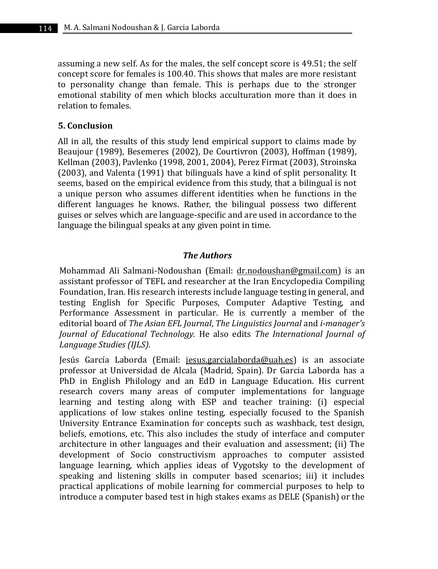assuming a new self. As for the males, the self concept score is 49.51; the self concept score for females is 100.40. This shows that males are more resistant to personality change than female. This is perhaps due to the stronger emotional stability of men which blocks acculturation more than it does in relation to females.

## **5. Conclusion**

All in all, the results of this study lend empirical support to claims made by Beaujour (1989), Besemeres (2002), De Courtivron (2003), Hoffman (1989), Kellman (2003), Pavlenko (1998, 2001, 2004), Perez Firmat (2003), Stroinska (2003), and Valenta (1991) that bilinguals have a kind of split personality. It seems, based on the empirical evidence from this study, that a bilingual is not a unique person who assumes different identities when he functions in the different languages he knows. Rather, the bilingual possess two different guises or selves which are language-specific and are used in accordance to the language the bilingual speaks at any given point in time.

## *The Authors*

Mohammad Ali Salmani-Nodoushan (Email: dr.nodoushan@gmail.com) is an assistant professor of TEFL and researcher at the Iran Encyclopedia Compiling Foundation, Iran. His research interests include language testing in general, and testing English for Specific Purposes, Computer Adaptive Testing, and Performance Assessment in particular. He is currently a member of the editorial board of *The Asian EFL Journal*, *The Linguistics Journal* and *i-manager's Journal of Educational Technology.* He also edits *The International Journal of Language Studies (IJLS).*

Jesús García Laborda (Email: jesus.garcialaborda@uah.es) is an associate professor at Universidad de Alcala (Madrid, Spain). Dr Garcia Laborda has a PhD in English Philology and an EdD in Language Education. His current research covers many areas of computer implementations for language learning and testing along with ESP and teacher training: (i) especial applications of low stakes online testing, especially focused to the Spanish University Entrance Examination for concepts such as washback, test design, beliefs, emotions, etc. This also includes the study of interface and computer architecture in other languages and their evaluation and assessment; (ii) The development of Socio constructivism approaches to computer assisted language learning, which applies ideas of Vygotsky to the development of speaking and listening skills in computer based scenarios; iii) it includes practical applications of mobile learning for commercial purposes to help to introduce a computer based test in high stakes exams as DELE (Spanish) or the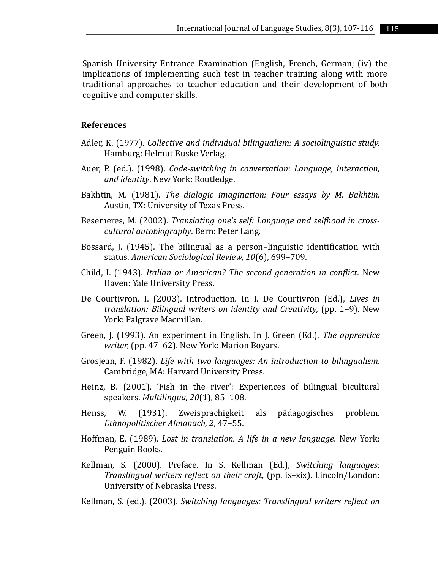Spanish University Entrance Examination (English, French, German; (iv) the implications of implementing such test in teacher training along with more traditional approaches to teacher education and their development of both cognitive and computer skills.

#### **References**

- Adler, K. (1977). *Collective and individual bilingualism: A sociolinguistic study.* Hamburg: Helmut Buske Verlag.
- Auer, P. (ed.). (1998). *Code-switching in conversation: Language, interaction, and identity*. New York: Routledge.
- Bakhtin, M. (1981). *The dialogic imagination: Four essays by M. Bakhtin.* Austin, TX: University of Texas Press.
- Besemeres, M. (2002). *Translating one's self: Language and selfhood in crosscultural autobiography*. Bern: Peter Lang.
- Bossard, J. (1945). The bilingual as a person–linguistic identification with status. *American Sociological Review, 10*(6), 699–709.
- Child, I. (1943). *Italian or American? The second generation in conflict*. New Haven: Yale University Press.
- De Courtivron, I. (2003). Introduction. In I. De Courtivron (Ed.), *Lives in translation: Bilingual writers on identity and Creativity,* (pp. 1–9). New York: Palgrave Macmillan.
- Green, J. (1993). An experiment in English. In J. Green (Ed.), *The apprentice writer,* (pp. 47–62). New York: Marion Boyars.
- Grosjean, F. (1982). *Life with two languages: An introduction to bilingualism*. Cambridge, MA: Harvard University Press.
- Heinz, B. (2001). 'Fish in the river': Experiences of bilingual bicultural speakers. *Multilingua, 20*(1), 85–108.
- Henss, W. (1931). Zweisprachigkeit als pädagogisches problem. *Ethnopolitischer Almanach, 2*, 47–55.
- Hoffman, E. (1989). *Lost in translation. A life in a new language*. New York: Penguin Books.
- Kellman, S. (2000). Preface. In S. Kellman (Ed.), *Switching languages: Translingual writers reflect on their craft,* (pp. ix–xix). Lincoln/London: University of Nebraska Press.
- Kellman, S. (ed.). (2003). *Switching languages: Translingual writers reflect on*